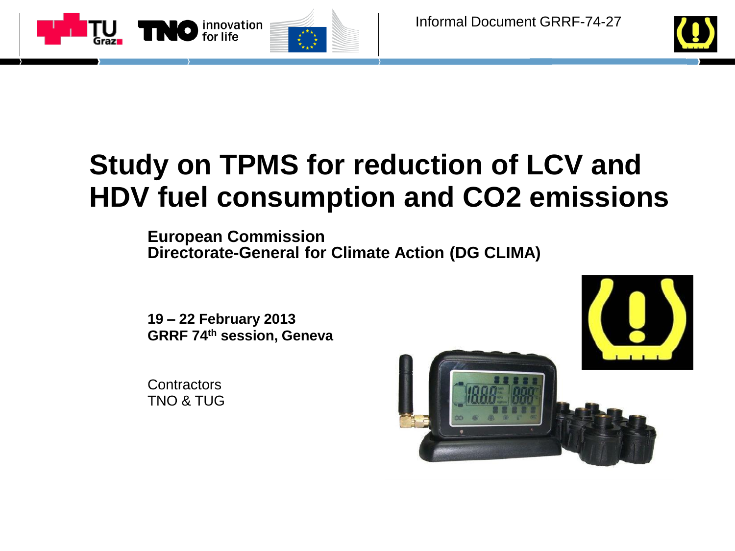



# **Study on TPMS for reduction of LCV and HDV fuel consumption and CO2 emissions**

**European Commission Directorate-General for Climate Action (DG CLIMA)**

**19 – 22 February 2013 GRRF 74th session, Geneva**

**Contractors** TNO & TUG

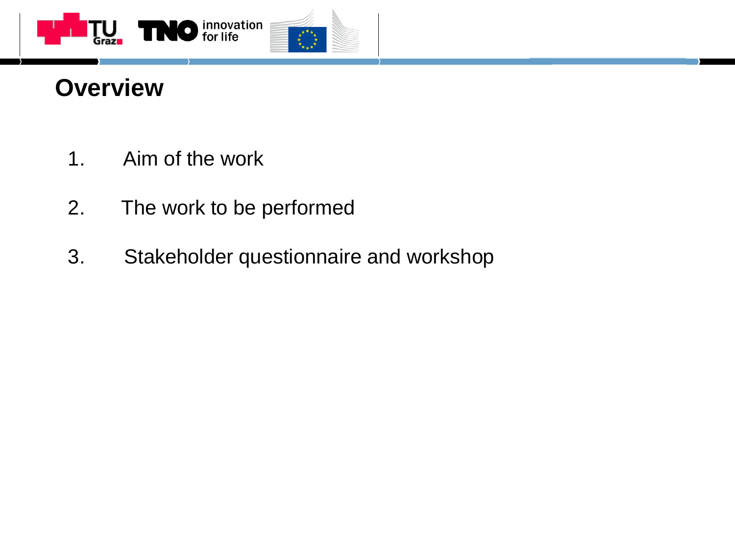

# **Overview**

- 1. Aim of the work
- 2. The work to be performed
- 3. Stakeholder questionnaire and workshop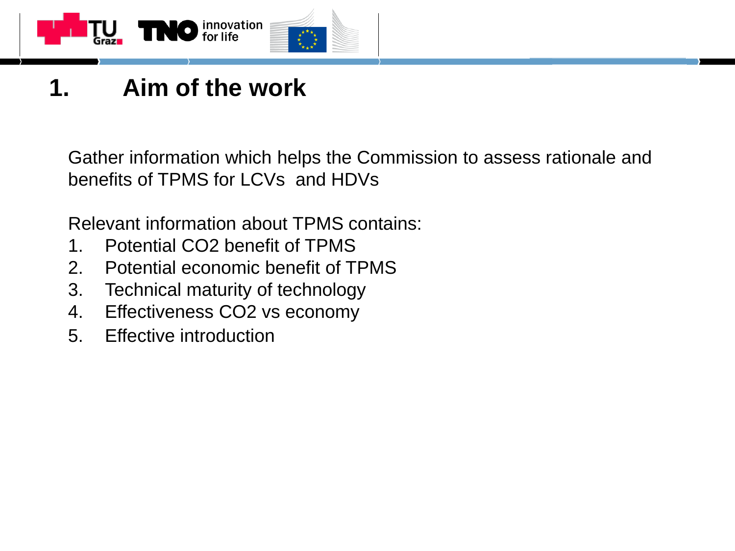

# **1. Aim of the work**

Gather information which helps the Commission to assess rationale and benefits of TPMS for LCVs and HDVs

Relevant information about TPMS contains:

- 1. Potential CO2 benefit of TPMS
- 2. Potential economic benefit of TPMS
- 3. Technical maturity of technology
- 4. Effectiveness CO2 vs economy
- 5. Effective introduction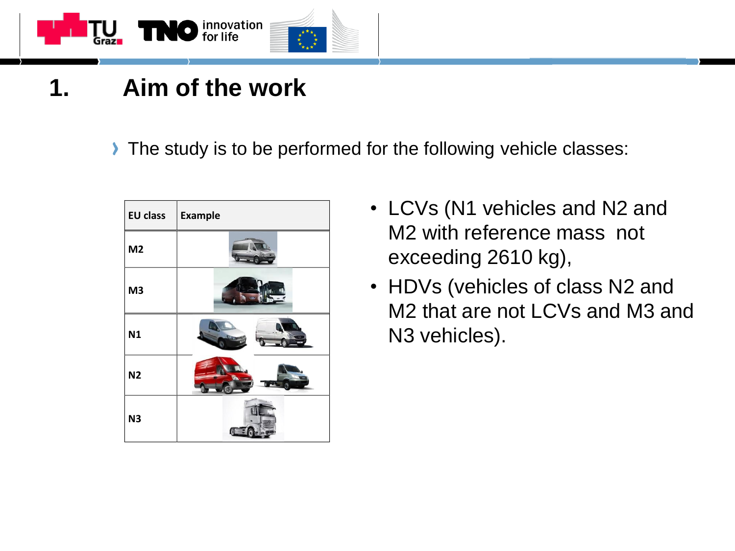

- **1. Aim of the work**
	- The study is to be performed for the following vehicle classes:



- LCVs (N1 vehicles and N2 and M2 with reference mass not exceeding 2610 kg),
- HDVs (vehicles of class N2 and M2 that are not LCVs and M3 and N3 vehicles).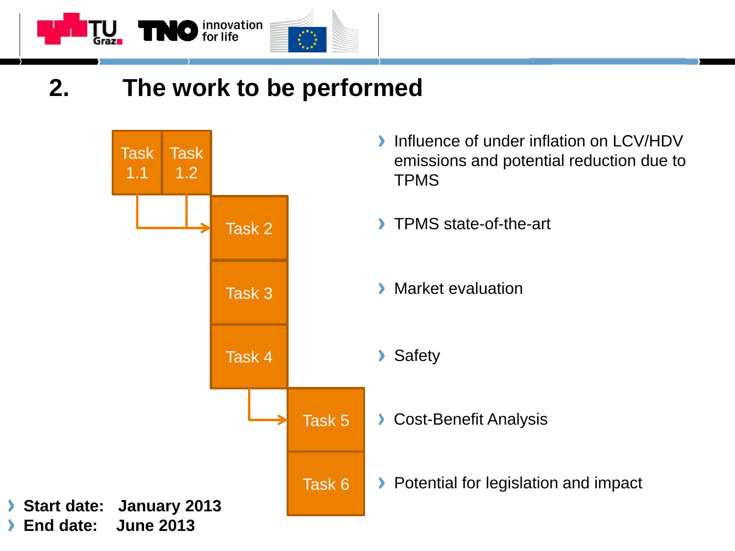

### **2. The work to be performed**

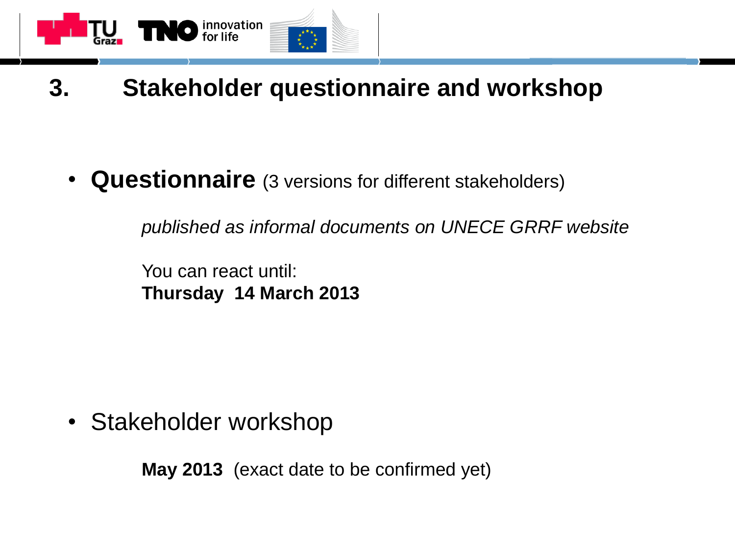

### **3. Stakeholder questionnaire and workshop**

• **Questionnaire** (3 versions for different stakeholders)

*published as informal documents on UNECE GRRF website*

You can react until: **Thursday 14 March 2013**

• Stakeholder workshop

**May 2013** (exact date to be confirmed yet)